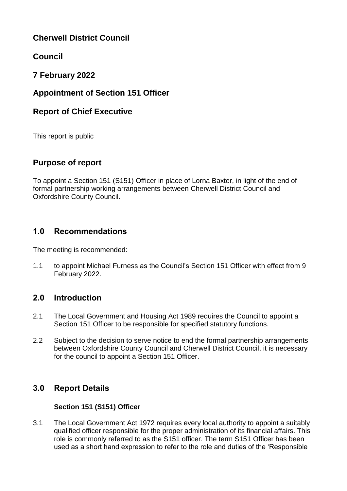# **Cherwell District Council**

# **Council**

# **7 February 2022**

## **Appointment of Section 151 Officer**

## **Report of Chief Executive**

This report is public

## **Purpose of report**

To appoint a Section 151 (S151) Officer in place of Lorna Baxter, in light of the end of formal partnership working arrangements between Cherwell District Council and Oxfordshire County Council.

## **1.0 Recommendations**

The meeting is recommended:

1.1 to appoint Michael Furness as the Council's Section 151 Officer with effect from 9 February 2022.

## **2.0 Introduction**

- 2.1 The Local Government and Housing Act 1989 requires the Council to appoint a Section 151 Officer to be responsible for specified statutory functions.
- 2.2 Subject to the decision to serve notice to end the formal partnership arrangements between Oxfordshire County Council and Cherwell District Council, it is necessary for the council to appoint a Section 151 Officer.

## **3.0 Report Details**

#### **Section 151 (S151) Officer**

3.1 The Local Government Act 1972 requires every local authority to appoint a suitably qualified officer responsible for the proper administration of its financial affairs. This role is commonly referred to as the S151 officer. The term S151 Officer has been used as a short hand expression to refer to the role and duties of the 'Responsible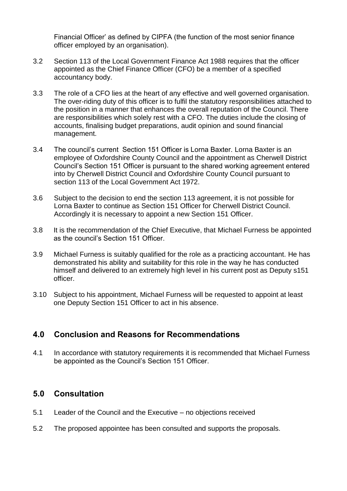Financial Officer' as defined by CIPFA (the function of the most senior finance officer employed by an organisation).

- 3.2 Section 113 of the Local Government Finance Act 1988 requires that the officer appointed as the Chief Finance Officer (CFO) be a member of a specified accountancy body.
- 3.3 The role of a CFO lies at the heart of any effective and well governed organisation. The over-riding duty of this officer is to fulfil the statutory responsibilities attached to the position in a manner that enhances the overall reputation of the Council. There are responsibilities which solely rest with a CFO. The duties include the closing of accounts, finalising budget preparations, audit opinion and sound financial management.
- 3.4 The council's current Section 151 Officer is Lorna Baxter. Lorna Baxter is an employee of Oxfordshire County Council and the appointment as Cherwell District Council's Section 151 Officer is pursuant to the shared working agreement entered into by Cherwell District Council and Oxfordshire County Council pursuant to section 113 of the Local Government Act 1972.
- 3.6 Subject to the decision to end the section 113 agreement, it is not possible for Lorna Baxter to continue as Section 151 Officer for Cherwell District Council. Accordingly it is necessary to appoint a new Section 151 Officer.
- 3.8 It is the recommendation of the Chief Executive, that Michael Furness be appointed as the council's Section 151 Officer.
- 3.9 Michael Furness is suitably qualified for the role as a practicing accountant. He has demonstrated his ability and suitability for this role in the way he has conducted himself and delivered to an extremely high level in his current post as Deputy s151 officer.
- 3.10 Subject to his appointment, Michael Furness will be requested to appoint at least one Deputy Section 151 Officer to act in his absence.

## **4.0 Conclusion and Reasons for Recommendations**

4.1 In accordance with statutory requirements it is recommended that Michael Furness be appointed as the Council's Section 151 Officer.

## **5.0 Consultation**

- 5.1 Leader of the Council and the Executive no objections received
- 5.2 The proposed appointee has been consulted and supports the proposals.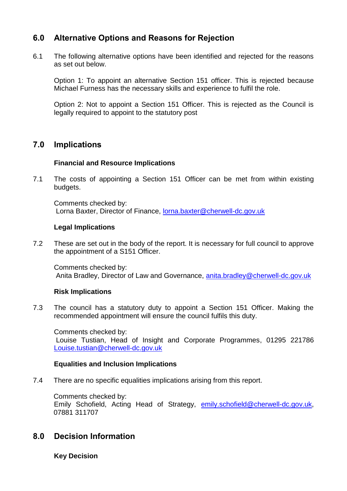## **6.0 Alternative Options and Reasons for Rejection**

6.1 The following alternative options have been identified and rejected for the reasons as set out below.

Option 1: To appoint an alternative Section 151 officer. This is rejected because Michael Furness has the necessary skills and experience to fulfil the role.

Option 2: Not to appoint a Section 151 Officer. This is rejected as the Council is legally required to appoint to the statutory post

#### **7.0 Implications**

#### **Financial and Resource Implications**

7.1 The costs of appointing a Section 151 Officer can be met from within existing budgets.

Comments checked by: Lorna Baxter, Director of Finance, [lorna.baxter@cherwell-dc.gov.uk](mailto:lorna.baxter@cherwell-dc.gov.uk)

#### **Legal Implications**

7.2 These are set out in the body of the report. It is necessary for full council to approve the appointment of a S151 Officer.

Comments checked by: Anita Bradley, Director of Law and Governance, [anita.bradley@cherwell-dc.gov.uk](mailto:anita.bradley@cherwell-dc.gov.uk)

#### **Risk Implications**

7.3 The council has a statutory duty to appoint a Section 151 Officer. Making the recommended appointment will ensure the council fulfils this duty.

Comments checked by: Louise Tustian, Head of Insight and Corporate Programmes, 01295 221786 [Louise.tustian@cherwell-dc.gov.uk](mailto:Louise.tustian@cherwell-dc.gov.uk)

#### **Equalities and Inclusion Implications**

7.4 There are no specific equalities implications arising from this report.

Comments checked by: Emily Schofield, Acting Head of Strategy, [emily.schofield@cherwell-dc.gov.uk,](mailto:emily.schofield@cherwell-dc.gov.uk) 07881 311707

## **8.0 Decision Information**

**Key Decision**